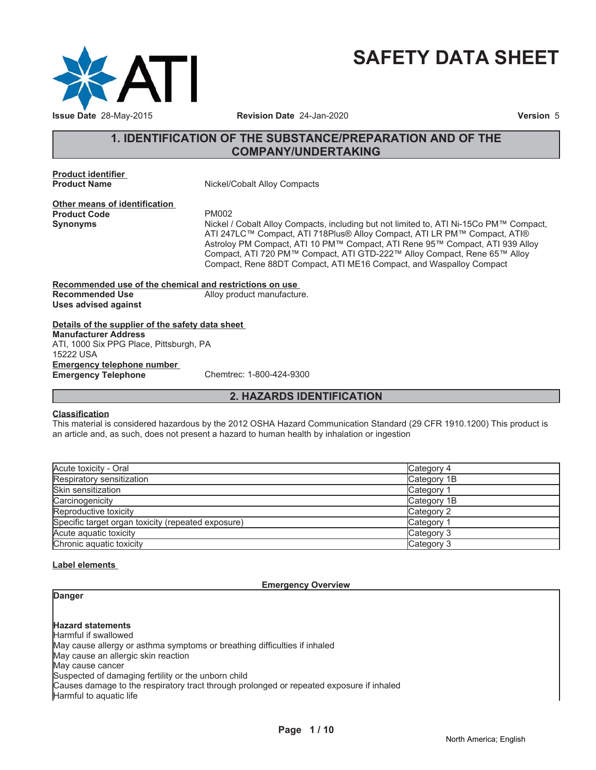

# **SAFETY DATA SHEET**

# **1. IDENTIFICATION OF THE SUBSTANCE/PREPARATION AND OF THE COMPANY/UNDERTAKING**

**Product identifier**

**Nickel/Cobalt Alloy Compacts** 

**Other means of identification** Product Code **PM002**<br> **Synonyms** Nickel /

Nickel / Cobalt Alloy Compacts, including but not limited to, ATI Ni-15Co PM<sup>™</sup> Compact, ATI 247LC™ Compact, ATI 718Plus® Alloy Compact, ATI LR PM™ Compact, ATI® Astroloy PM Compact, ATI 10 PM™ Compact, ATI Rene 95™ Compact, ATI 939 Alloy Compact, ATI 720 PM™ Compact, ATI GTD-222™ Alloy Compact, Rene 65™ Alloy Compact, Rene 88DT Compact, ATI ME16 Compact, and Waspalloy Compact

**Recommended use of the chemical and restrictions on use** Alloy product manufacture. **Uses advised against**

# **Details of the supplier of the safety data sheet**

**Emergency telephone number Emergency Telephone** Chemtrec: 1-800-424-9300 **Manufacturer Address** ATI, 1000 Six PPG Place, Pittsburgh, PA 15222 USA

**2. HAZARDS IDENTIFICATION**

#### **Classification**

This material is considered hazardous by the 2012 OSHA Hazard Communication Standard (29 CFR 1910.1200) This product is an article and, as such, does not present a hazard to human health by inhalation or ingestion

| Acute toxicity - Oral                              | Category 4  |
|----------------------------------------------------|-------------|
| Respiratory sensitization                          | Category 1B |
| <b>Skin sensitization</b>                          | Category 1  |
| Carcinogenicity                                    | Category 1B |
| Reproductive toxicity                              | Category 2  |
| Specific target organ toxicity (repeated exposure) | Category 1  |
| Acute aguatic toxicity                             | Category 3  |
| Chronic aquatic toxicity                           | Category 3  |

#### **Label elements**

#### **Emergency Overview**

#### **Danger**

## **Hazard statements**

Harmful if swallowed May cause allergy or asthma symptoms or breathing difficulties if inhaled

May cause an allergic skin reaction

May cause cancer

Suspected of damaging fertility or the unborn child

Causes damage to the respiratory tract through prolonged or repeated exposure if inhaled

Harmful to aquatic life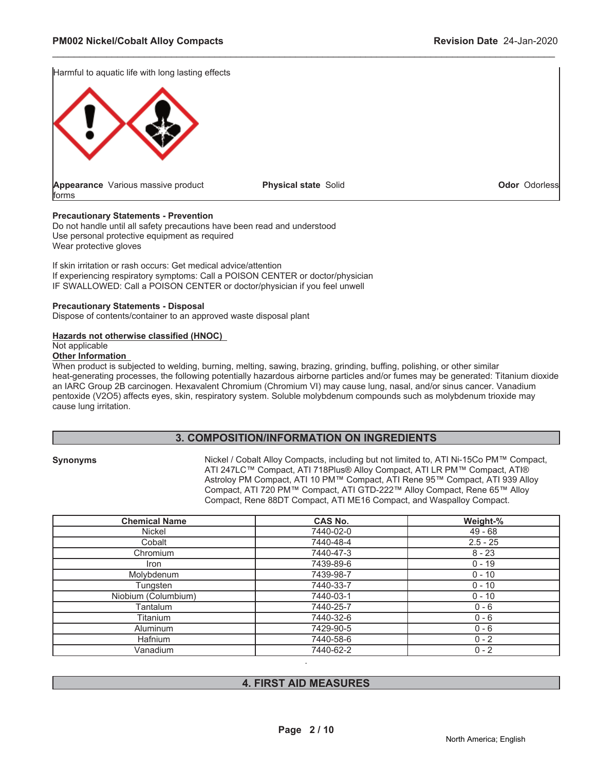Harmful to aquatic life with long lasting effects



**Physical state** Solid **Odor** Odorless

\_\_\_\_\_\_\_\_\_\_\_\_\_\_\_\_\_\_\_\_\_\_\_\_\_\_\_\_\_\_\_\_\_\_\_\_\_\_\_\_\_\_\_\_\_\_\_\_\_\_\_\_\_\_\_\_\_\_\_\_\_\_\_\_\_\_\_\_\_\_\_\_\_\_\_\_\_\_\_\_\_\_\_\_\_\_\_\_\_\_\_\_\_

#### **Precautionary Statements - Prevention**

Do not handle until all safety precautions have been read and understood Use personal protective equipment as required Wear protective gloves

If skin irritation or rash occurs: Get medical advice/attention If experiencing respiratory symptoms: Call a POISON CENTER or doctor/physician IF SWALLOWED: Call a POISON CENTER or doctor/physician if you feel unwell

#### **Precautionary Statements - Disposal**

Dispose of contents/container to an approved waste disposal plant

#### **Hazards not otherwise classified (HNOC)**

Not applicable

#### **Other Information**

When product is subjected to welding, burning, melting, sawing, brazing, grinding, buffing, polishing, or other similar heat-generating processes, the following potentially hazardous airborne particles and/or fumes may be generated: Titanium dioxide an IARC Group 2B carcinogen. Hexavalent Chromium (Chromium VI) may cause lung, nasal, and/or sinus cancer. Vanadium pentoxide (V2O5) affects eyes, skin, respiratory system. Soluble molybdenum compounds such as molybdenum trioxide may cause lung irritation.

### **3. COMPOSITION/INFORMATION ON INGREDIENTS**

**Synonyms** 1LFOXTO Nickel / Cobalt Alloy Compacts, including but not limited to, ATI Ni-15Co PM™ Compact, ATI 247LC™ Compact, ATI 718Plus® Alloy Compact, ATI LR PM™ Compact, ATI® Astroloy PM Compact, ATI 10 PM™ Compact, ATI Rene 95™ Compact, ATI 939 Alloy Compact, ATI 720 PM™ Compact, ATI GTD-222™ Alloy Compact, Rene 65™ Alloy Compact, Rene 88DT Compact, ATI ME16 Compact, and Waspalloy Compact.

| <b>Chemical Name</b> | <b>CAS No.</b> | Weight-%   |
|----------------------|----------------|------------|
| Nickel               | 7440-02-0      | $49 - 68$  |
| Cobalt               | 7440-48-4      | $2.5 - 25$ |
| Chromium             | 7440-47-3      | $8 - 23$   |
| <i>Iron</i>          | 7439-89-6      | $0 - 19$   |
| Molybdenum           | 7439-98-7      | $0 - 10$   |
| Tungsten             | 7440-33-7      | $0 - 10$   |
| Niobium (Columbium)  | 7440-03-1      | $0 - 10$   |
| <b>Fantalum</b>      | 7440-25-7      | $0 - 6$    |
| Titanium             | 7440-32-6      | $0 - 6$    |
| <b>Aluminum</b>      | 7429-90-5      | $0 - 6$    |
| <b>Hafnium</b>       | 7440-58-6      | $0 - 2$    |
| Vanadium             | 7440-62-2      | $0 - 2$    |

### **4. FIRST AID MEASURES**

.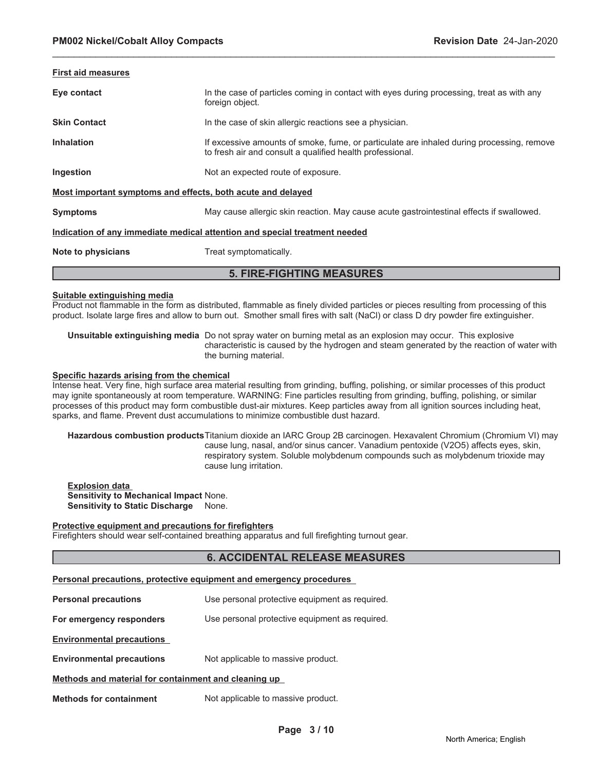| <b>First aid measures</b>                                                  |                                                                                                                                                        |  |
|----------------------------------------------------------------------------|--------------------------------------------------------------------------------------------------------------------------------------------------------|--|
| Eye contact                                                                | In the case of particles coming in contact with eyes during processing, treat as with any<br>foreign object.                                           |  |
| <b>Skin Contact</b>                                                        | In the case of skin allergic reactions see a physician.                                                                                                |  |
| <b>Inhalation</b>                                                          | If excessive amounts of smoke, fume, or particulate are inhaled during processing, remove<br>to fresh air and consult a qualified health professional. |  |
| Ingestion                                                                  | Not an expected route of exposure.                                                                                                                     |  |
| Most important symptoms and effects, both acute and delayed                |                                                                                                                                                        |  |
| <b>Symptoms</b>                                                            | May cause allergic skin reaction. May cause acute gastrointestinal effects if swallowed.                                                               |  |
| Indication of any immediate medical attention and special treatment needed |                                                                                                                                                        |  |
| Note to physicians                                                         | Treat symptomatically.                                                                                                                                 |  |
| <b>5. FIRE-FIGHTING MEASURES</b>                                           |                                                                                                                                                        |  |

#### **Suitable extinguishing media**

Product not flammable in the form as distributed, flammable as finely divided particles or pieces resulting from processing of this product. Isolate large fires and allow to burn out. Smother small fires with salt (NaCl) or class D dry powder fire extinguisher.

**Unsuitable extinguishing media** Do not spray water on burning metal as an explosion may occur. This explosive characteristic is caused by the hydrogen and steam generated by the reaction of water with the burning material.

#### **Specific hazards arising from the chemical**

Intense heat. Very fine, high surface area material resulting from grinding, buffing, polishing, or similar processes of this product may ignite spontaneously at room temperature. WARNING: Fine particles resulting from grinding, buffing, polishing, or similar processes of this product may form combustible dust-air mixtures. Keep particles away from all ignition sources including heat, sparks, and flame. Prevent dust accumulations to minimize combustible dust hazard.

**Hazardous combustion products**Titanium dioxide an IARC Group 2B carcinogen. Hexavalent Chromium (Chromium VI) may cause lung, nasal, and/or sinus cancer. Vanadium pentoxide (V2O5) affects eyes, skin, respiratory system. Soluble molybdenum compounds such as molybdenum trioxide may cause lung irritation.

**Explosion data Sensitivity to Mechanical Impact** None. **Sensitivity to Static Discharge** None.

#### **Protective equipment and precautions for firefighters**

Firefighters should wear self-contained breathing apparatus and full firefighting turnout gear.

#### **6. ACCIDENTAL RELEASE MEASURES**

#### **Personal precautions, protective equipment and emergency procedures**

**Personal precautions** Use personal protective equipment as required.

**For emergency responders** Use personal protective equipment as required.

**Environmental precautions**

**Environmental precautions** Not applicable to massive product.

#### **Methods and material for containment and cleaning up**

**Methods for containment** Not applicable to massive product.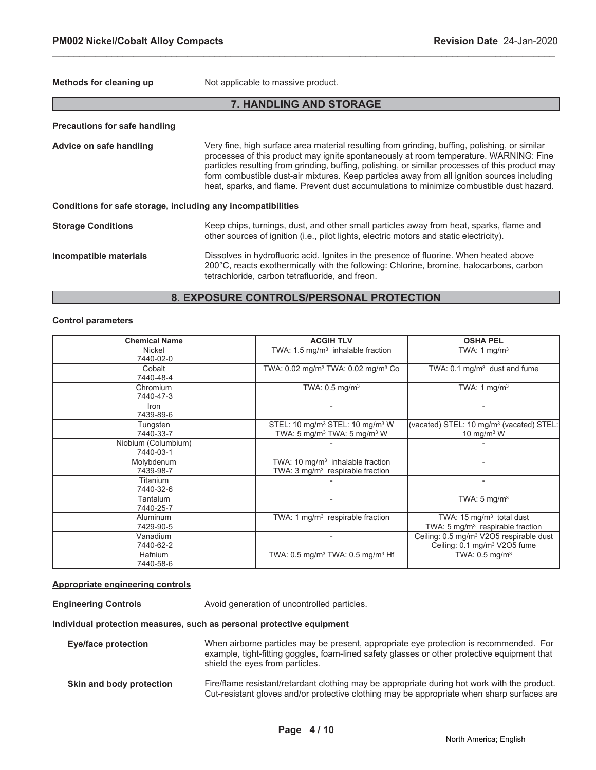**Methods for cleaning up** Not applicable to massive product.

### **7. HANDLING AND STORAGE**

\_\_\_\_\_\_\_\_\_\_\_\_\_\_\_\_\_\_\_\_\_\_\_\_\_\_\_\_\_\_\_\_\_\_\_\_\_\_\_\_\_\_\_\_\_\_\_\_\_\_\_\_\_\_\_\_\_\_\_\_\_\_\_\_\_\_\_\_\_\_\_\_\_\_\_\_\_\_\_\_\_\_\_\_\_\_\_\_\_\_\_\_\_

| <b>Precautions for safe handling</b>                         |                                                                                                                                                                                                                                                                                                                                                                                                                                                                                      |  |  |
|--------------------------------------------------------------|--------------------------------------------------------------------------------------------------------------------------------------------------------------------------------------------------------------------------------------------------------------------------------------------------------------------------------------------------------------------------------------------------------------------------------------------------------------------------------------|--|--|
| Advice on safe handling                                      | Very fine, high surface area material resulting from grinding, buffing, polishing, or similar<br>processes of this product may ignite spontaneously at room temperature. WARNING: Fine<br>particles resulting from grinding, buffing, polishing, or similar processes of this product may<br>form combustible dust-air mixtures. Keep particles away from all ignition sources including<br>heat, sparks, and flame. Prevent dust accumulations to minimize combustible dust hazard. |  |  |
| Conditions for safe storage, including any incompatibilities |                                                                                                                                                                                                                                                                                                                                                                                                                                                                                      |  |  |
| <b>Storage Conditions</b>                                    | Keep chips, turnings, dust, and other small particles away from heat, sparks, flame and<br>other sources of ignition (i.e., pilot lights, electric motors and static electricity).                                                                                                                                                                                                                                                                                                   |  |  |
| Incompatible materials                                       | Dissolves in hydrofluoric acid. Ignites in the presence of fluorine. When heated above<br>200°C, reacts exothermically with the following: Chlorine, bromine, halocarbons, carbon<br>tetrachloride, carbon tetrafluoride, and freon.                                                                                                                                                                                                                                                 |  |  |

#### **8. EXPOSURE CONTROLS/PERSONAL PROTECTION**

#### **Control parameters**

| <b>Chemical Name</b>             | <b>ACGIH TLV</b>                                                                                               | <b>OSHA PEL</b>                                                                                 |
|----------------------------------|----------------------------------------------------------------------------------------------------------------|-------------------------------------------------------------------------------------------------|
| <b>Nickel</b><br>7440-02-0       | TWA: $1.5 \text{ mg/m}^3$ inhalable fraction                                                                   | TWA: $1 \text{ mg/m}^3$                                                                         |
| Cobalt<br>7440-48-4              | TWA: 0.02 mg/m <sup>3</sup> TWA: 0.02 mg/m <sup>3</sup> Co                                                     | TWA: $0.1 \text{ mg/m}^3$ dust and fume                                                         |
| Chromium<br>7440-47-3            | TWA: $0.5$ mg/m <sup>3</sup>                                                                                   | TWA: 1 $mg/m3$                                                                                  |
| Iron<br>7439-89-6                |                                                                                                                |                                                                                                 |
| Tungsten<br>7440-33-7            | STEL: 10 mg/m <sup>3</sup> STEL: 10 mg/m <sup>3</sup> W<br>TWA: 5 mg/m <sup>3</sup> TWA: 5 mg/m <sup>3</sup> W | (vacated) STEL: 10 mg/m <sup>3</sup> (vacated) STEL:<br>10 mg/m $3$ W                           |
| Niobium (Columbium)<br>7440-03-1 |                                                                                                                |                                                                                                 |
| Molybdenum<br>7439-98-7          | TWA: 10 $mq/m3$ inhalable fraction<br>TWA: 3 mg/m <sup>3</sup> respirable fraction                             |                                                                                                 |
| Titanium<br>7440-32-6            |                                                                                                                | $\overline{\phantom{0}}$                                                                        |
| Tantalum<br>7440-25-7            |                                                                                                                | TWA: $5 \text{ mg/m}^3$                                                                         |
| <b>Aluminum</b><br>7429-90-5     | TWA: 1 $mg/m3$ respirable fraction                                                                             | TWA: $15 \text{ mg/m}^3$ total dust<br>TWA: $5 \text{ mg/m}^3$ respirable fraction              |
| Vanadium<br>7440-62-2            |                                                                                                                | Ceiling: 0.5 mg/m <sup>3</sup> V2O5 respirable dust<br>Ceiling: 0.1 mg/m <sup>3</sup> V2O5 fume |
| <b>Hafnium</b><br>7440-58-6      | TWA: $0.5 \text{ mg/m}^3$ TWA: $0.5 \text{ mg/m}^3$ Hf                                                         | TWA: $0.5 \text{ mg/m}^3$                                                                       |

#### **Appropriate engineering controls**

**Engineering Controls Avoid generation of uncontrolled particles.** 

#### **Individual protection measures, such as personal protective equipment**

| Eye/face protection      | When airborne particles may be present, appropriate eye protection is recommended. For<br>example, tight-fitting goggles, foam-lined safety glasses or other protective equipment that<br>shield the eyes from particles. |  |
|--------------------------|---------------------------------------------------------------------------------------------------------------------------------------------------------------------------------------------------------------------------|--|
| Skin and body protection | Fire/flame resistant/retardant clothing may be appropriate during hot work with the product.<br>Cut-resistant gloves and/or protective clothing may be appropriate when sharp surfaces are                                |  |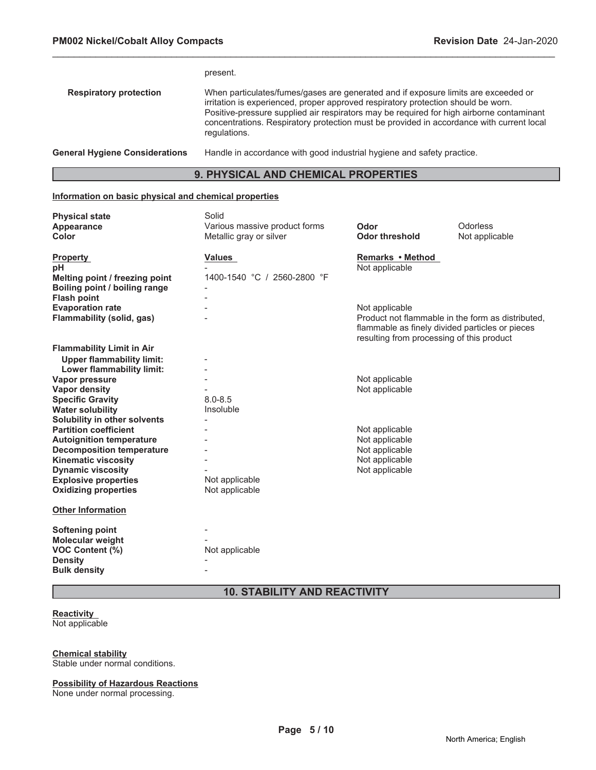|                                       | present.                                                                                                                                                                                                                                                                                                                                                                        |
|---------------------------------------|---------------------------------------------------------------------------------------------------------------------------------------------------------------------------------------------------------------------------------------------------------------------------------------------------------------------------------------------------------------------------------|
| <b>Respiratory protection</b>         | When particulates/fumes/gases are generated and if exposure limits are exceeded or<br>irritation is experienced, proper approved respiratory protection should be worn.<br>Positive-pressure supplied air respirators may be required for high airborne contaminant<br>concentrations. Respiratory protection must be provided in accordance with current local<br>regulations. |
| <b>General Hygiene Considerations</b> | Handle in accordance with good industrial hygiene and safety practice.                                                                                                                                                                                                                                                                                                          |

# **9. PHYSICAL AND CHEMICAL PROPERTIES**

#### **Information on basic physical and chemical properties**

| <b>Physical state</b><br><b>Appearance</b><br>Color                                                           | Solid<br>Various massive product forms<br>Metallic gray or silver | Odor<br><b>Odor threshold</b>                                                                                                                                       | Odorless<br>Not applicable |
|---------------------------------------------------------------------------------------------------------------|-------------------------------------------------------------------|---------------------------------------------------------------------------------------------------------------------------------------------------------------------|----------------------------|
| <b>Property</b><br>рH<br>Melting point / freezing point                                                       | <b>Values</b><br>1400-1540 °C / 2560-2800 °F                      | Remarks • Method<br>Not applicable                                                                                                                                  |                            |
| Boiling point / boiling range<br><b>Flash point</b>                                                           |                                                                   |                                                                                                                                                                     |                            |
| <b>Evaporation rate</b><br><b>Flammability (solid, gas)</b>                                                   |                                                                   | Not applicable<br>Product not flammable in the form as distributed.<br>flammable as finely divided particles or pieces<br>resulting from processing of this product |                            |
| <b>Flammability Limit in Air</b><br><b>Upper flammability limit:</b>                                          |                                                                   |                                                                                                                                                                     |                            |
| Lower flammability limit:<br><b>Vapor pressure</b><br><b>Vapor density</b>                                    |                                                                   | Not applicable<br>Not applicable                                                                                                                                    |                            |
| <b>Specific Gravity</b><br><b>Water solubility</b>                                                            | $8.0 - 8.5$<br>Insoluble                                          |                                                                                                                                                                     |                            |
| Solubility in other solvents<br><b>Partition coefficient</b>                                                  |                                                                   | Not applicable                                                                                                                                                      |                            |
| <b>Autoignition temperature</b><br><b>Decomposition temperature</b>                                           |                                                                   | Not applicable<br>Not applicable<br>Not applicable                                                                                                                  |                            |
| <b>Kinematic viscosity</b><br><b>Dynamic viscosity</b><br><b>Explosive properties</b>                         | Not applicable                                                    | Not applicable                                                                                                                                                      |                            |
| <b>Oxidizing properties</b>                                                                                   | Not applicable                                                    |                                                                                                                                                                     |                            |
| <b>Other Information</b>                                                                                      |                                                                   |                                                                                                                                                                     |                            |
| Softening point<br><b>Molecular weight</b><br><b>VOC Content (%)</b><br><b>Density</b><br><b>Bulk density</b> | Not applicable                                                    |                                                                                                                                                                     |                            |

# **10. STABILITY AND REACTIVITY**

# **Reactivity**

Not applicable

#### **Chemical stability**

Stable under normal conditions.

#### **Possibility of Hazardous Reactions**

None under normal processing.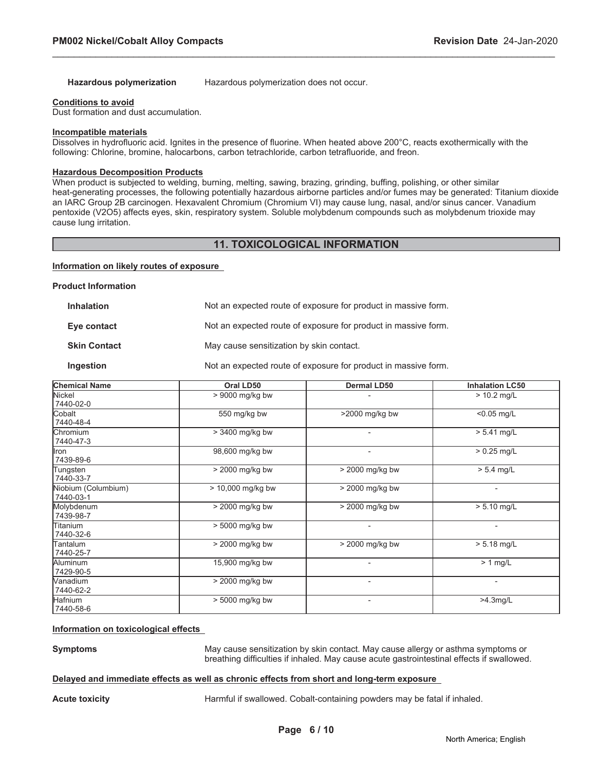Hazardous polymerization Hazardous polymerization does not occur.

\_\_\_\_\_\_\_\_\_\_\_\_\_\_\_\_\_\_\_\_\_\_\_\_\_\_\_\_\_\_\_\_\_\_\_\_\_\_\_\_\_\_\_\_\_\_\_\_\_\_\_\_\_\_\_\_\_\_\_\_\_\_\_\_\_\_\_\_\_\_\_\_\_\_\_\_\_\_\_\_\_\_\_\_\_\_\_\_\_\_\_\_\_

#### **Conditions to avoid**

Dust formation and dust accumulation.

#### **Incompatible materials**

Dissolves in hydrofluoric acid. Ignites in the presence of fluorine. When heated above 200°C, reacts exothermically with the following: Chlorine, bromine, halocarbons, carbon tetrachloride, carbon tetrafluoride, and freon.

#### **Hazardous Decomposition Products**

When product is subjected to welding, burning, melting, sawing, brazing, grinding, buffing, polishing, or other similar heat-generating processes, the following potentially hazardous airborne particles and/or fumes may be generated: Titanium dioxide an IARC Group 2B carcinogen. Hexavalent Chromium (Chromium VI) may cause lung, nasal, and/or sinus cancer. Vanadium pentoxide (V2O5) affects eyes, skin, respiratory system. Soluble molybdenum compounds such as molybdenum trioxide may cause lung irritation.

#### **11. TOXICOLOGICAL INFORMATION**

#### **Information on likely routes of exposure**

**Product Information**

| <b>Inhalation</b>   | Not an expected route of exposure for product in massive form. |
|---------------------|----------------------------------------------------------------|
| Eye contact         | Not an expected route of exposure for product in massive form. |
| <b>Skin Contact</b> | May cause sensitization by skin contact.                       |
| Ingestion           | Not an expected route of exposure for product in massive form. |

| <b>Chemical Name</b>             | Oral LD50           | <b>Dermal LD50</b>       | <b>Inhalation LC50</b> |
|----------------------------------|---------------------|--------------------------|------------------------|
| Nickel<br>7440-02-0              | > 9000 mg/kg bw     |                          | $> 10.2$ mg/L          |
| <b>Cobalt</b><br>7440-48-4       | 550 mg/kg bw        | >2000 mg/kg bw           | $< 0.05$ mg/L          |
| Chromium<br>7440-47-3            | > 3400 mg/kg bw     | $\overline{\phantom{0}}$ | $> 5.41$ mg/L          |
| <b>Iron</b><br>7439-89-6         | 98,600 mg/kg bw     | $\overline{\phantom{a}}$ | $> 0.25$ mg/L          |
| Tungsten<br>7440-33-7            | $>$ 2000 mg/kg bw   | $>$ 2000 mg/kg bw        | $> 5.4$ mg/L           |
| Niobium (Columbium)<br>7440-03-1 | $> 10,000$ mg/kg bw | > 2000 mg/kg bw          | $\overline{a}$         |
| Molybdenum<br>7439-98-7          | > 2000 mg/kg bw     | > 2000 mg/kg bw          | $> 5.10$ mg/L          |
| Titanium<br>7440-32-6            | > 5000 mg/kg bw     | $\overline{\phantom{0}}$ | $\blacksquare$         |
| Tantalum<br>7440-25-7            | > 2000 mg/kg bw     | $>$ 2000 mg/kg bw        | $> 5.18$ mg/L          |
| Aluminum<br>7429-90-5            | 15,900 mg/kg bw     | -                        | $> 1$ mg/L             |
| <b>Nanadium</b><br>7440-62-2     | > 2000 mg/kg bw     | $\overline{\phantom{0}}$ | ٠                      |
| Hafnium<br>7440-58-6             | $> 5000$ mg/kg bw   | $\overline{\phantom{0}}$ | $>4.3$ mg/L            |

#### **Information on toxicological effects**

**Symptoms** May cause sensitization by skin contact. May cause allergy or asthma symptoms or breathing difficulties if inhaled. May cause acute gastrointestinal effects if swallowed.

#### **Delayed and immediate effects as well as chronic effects from short and long-term exposure**

**Acute toxicity** Harmful if swallowed. Cobalt-containing powders may be fatal if inhaled.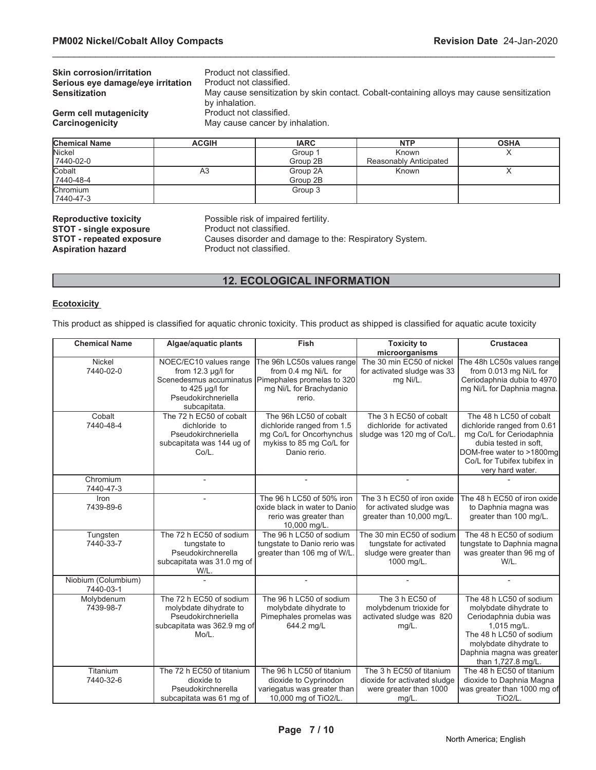| <b>Skin corrosion/irritation</b>  | Product not classified.                                                                                     |
|-----------------------------------|-------------------------------------------------------------------------------------------------------------|
| Serious eye damage/eye irritation | Product not classified.                                                                                     |
| <b>Sensitization</b>              | May cause sensitization by skin contact. Cobalt-containing alloys may cause sensitization<br>by inhalation. |
| <b>Germ cell mutagenicity</b>     | Product not classified.                                                                                     |
| Carcinogenicity                   | May cause cancer by inhalation.                                                                             |
|                                   |                                                                                                             |

| <b>Chemical Name</b> | <b>ACGIH</b> | <b>IARC</b> | <b>NTP</b>             | <b>OSHA</b> |
|----------------------|--------------|-------------|------------------------|-------------|
| <b>Nickel</b>        |              | Group 1     | Known                  |             |
| 7440-02-0            |              | Group 2B    | Reasonably Anticipated |             |
| Cobalt               | A3           | Group 2A    | Known                  |             |
| 7440-48-4            |              | Group 2B    |                        |             |
| <b>Chromium</b>      |              | Group 3     |                        |             |
| 7440-47-3            |              |             |                        |             |

**STOT - single exposure<br>STOT - repeated exposure Aspiration hazard Product not classified.** 

**Reproductive toxicity** Possible risk of impaired fertility.<br>**STOT - single exposure** Product not classified. Causes disorder and damage to the: Respiratory System.

### **12. ECOLOGICAL INFORMATION**

#### **Ecotoxicity**

This product as shipped is classified for aquatic chronic toxicity. This product as shipped is classified for aquatic acute toxicity

| <b>Chemical Name</b>             | Algae/aquatic plants                                                                                                                   | <b>Fish</b>                                                                                                                  | <b>Toxicity to</b>                                                                             | <b>Crustacea</b>                                                                                                                                                                                   |
|----------------------------------|----------------------------------------------------------------------------------------------------------------------------------------|------------------------------------------------------------------------------------------------------------------------------|------------------------------------------------------------------------------------------------|----------------------------------------------------------------------------------------------------------------------------------------------------------------------------------------------------|
|                                  |                                                                                                                                        |                                                                                                                              | microorganisms                                                                                 |                                                                                                                                                                                                    |
| Nickel<br>7440-02-0              | NOEC/EC10 values range<br>from 12.3 µg/l for<br>Scenedesmus accuminatus<br>to $425 \mu g/l$ for<br>Pseudokirchneriella<br>subcapitata. | The 96h LC50s values range<br>from 0.4 mg Ni/L for<br>Pimephales promelas to 320<br>mg Ni/L for Brachydanio<br>rerio.        | The 30 min EC50 of nickel<br>for activated sludge was 33<br>mg Ni/L.                           | The 48h LC50s values range<br>from 0.013 mg Ni/L for<br>Ceriodaphnia dubia to 4970<br>mg Ni/L for Daphnia magna.                                                                                   |
| Cobalt<br>7440-48-4              | The 72 h EC50 of cobalt<br>dichloride to<br>Pseudokirchneriella<br>subcapitata was 144 ug of<br>Co/L.                                  | The 96h LC50 of cobalt<br>dichloride ranged from 1.5<br>mg Co/L for Oncorhynchus<br>mykiss to 85 mg Co/L for<br>Danio rerio. | The 3 h EC50 of cobalt<br>dichloride for activated<br>sludge was 120 mg of Co/L.               | The 48 h LC50 of cobalt<br>dichloride ranged from 0.61<br>mg Co/L for Ceriodaphnia<br>dubia tested in soft.<br>DOM-free water to >1800mg<br>Co/L for Tubifex tubifex in<br>very hard water.        |
| Chromium<br>7440-47-3            |                                                                                                                                        |                                                                                                                              |                                                                                                |                                                                                                                                                                                                    |
| Iron<br>7439-89-6                |                                                                                                                                        | The 96 h LC50 of 50% iron<br>oxide black in water to Danio<br>rerio was greater than<br>10,000 mg/L.                         | The 3 h EC50 of iron oxide<br>for activated sludge was<br>greater than 10,000 mg/L.            | The 48 h EC50 of iron oxide<br>to Daphnia magna was<br>greater than 100 mg/L.                                                                                                                      |
| Tungsten<br>7440-33-7            | The 72 h EC50 of sodium<br>tungstate to<br>Pseudokirchnerella<br>subcapitata was 31.0 mg of<br>W/L.                                    | The 96 h LC50 of sodium<br>tungstate to Danio rerio was<br>greater than 106 mg of W/L.                                       | The 30 min EC50 of sodium<br>tungstate for activated<br>sludge were greater than<br>1000 mg/L. | The 48 h EC50 of sodium<br>tungstate to Daphnia magna<br>was greater than 96 mg of<br>$W/L$ .                                                                                                      |
| Niobium (Columbium)<br>7440-03-1 |                                                                                                                                        |                                                                                                                              |                                                                                                |                                                                                                                                                                                                    |
| Molybdenum<br>7439-98-7          | The 72 h EC50 of sodium<br>molybdate dihydrate to<br>Pseudokirchneriella<br>subcapitata was 362.9 mg of<br>Mo/L.                       | The 96 h LC50 of sodium<br>molybdate dihydrate to<br>Pimephales promelas was<br>644.2 mg/L                                   | The 3 h EC50 of<br>molybdenum trioxide for<br>activated sludge was 820<br>$mg/L$ .             | The 48 h LC50 of sodium<br>molybdate dihydrate to<br>Ceriodaphnia dubia was<br>1,015 mg/L.<br>The 48 h LC50 of sodium<br>molybdate dihydrate to<br>Daphnia magna was greater<br>than 1,727.8 mg/L. |
| Titanium<br>7440-32-6            | The 72 h EC50 of titanium<br>dioxide to<br>Pseudokirchnerella<br>subcapitata was 61 mg of                                              | The 96 h LC50 of titanium<br>dioxide to Cyprinodon<br>variegatus was greater than<br>10,000 mg of TiO2/L.                    | The 3 h EC50 of titanium<br>dioxide for activated sludge<br>were greater than 1000<br>$mg/L$ . | The 48 h EC50 of titanium<br>dioxide to Daphnia Magna<br>was greater than 1000 mg of<br>TiO <sub>2</sub> /L.                                                                                       |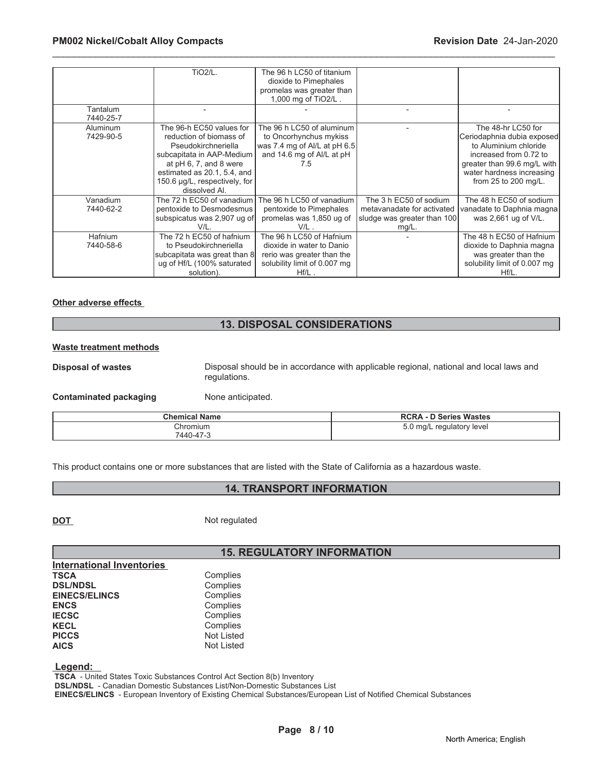|           | <b>TiO2/L.</b>                | The 96 h LC50 of titanium    |                             |                              |
|-----------|-------------------------------|------------------------------|-----------------------------|------------------------------|
|           |                               | dioxide to Pimephales        |                             |                              |
|           |                               | promelas was greater than    |                             |                              |
|           |                               | 1,000 mg of TiO2/L.          |                             |                              |
| Tantalum  |                               |                              |                             |                              |
| 7440-25-7 |                               |                              |                             |                              |
| Aluminum  | The 96-h EC50 values for      | The 96 h LC50 of aluminum    |                             | The 48-hr LC50 for           |
| 7429-90-5 | reduction of biomass of       | to Oncorhynchus mykiss       |                             | Ceriodaphnia dubia exposed   |
|           | Pseudokirchneriella           | was 7.4 mg of Al/L at pH 6.5 |                             | to Aluminium chloride        |
|           | subcapitata in AAP-Medium     | and 14.6 mg of Al/L at pH    |                             | increased from 0.72 to       |
|           | at pH 6, 7, and 8 were        | 7.5                          |                             | greater than 99.6 mg/L with  |
|           | estimated as 20.1, 5.4, and   |                              |                             | water hardness increasing    |
|           | 150.6 µg/L, respectively, for |                              |                             | from 25 to 200 mg/L.         |
|           | dissolved Al.                 |                              |                             |                              |
| Vanadium  | The 72 h EC50 of vanadium I   | The 96 h LC50 of vanadium    | The 3 h EC50 of sodium      | The 48 h EC50 of sodium      |
| 7440-62-2 | pentoxide to Desmodesmus      | pentoxide to Pimephales      | metavanadate for activated  | vanadate to Daphnia magna    |
|           | subspicatus was 2,907 ug of   | promelas was 1,850 ug of     | sludge was greater than 100 | was 2,661 ug of V/L.         |
|           | V/L.                          | $V/L$ .                      | $mg/L$ .                    |                              |
| Hafnium   | The 72 h EC50 of hafnium      | The 96 h LC50 of Hafnium     |                             | The 48 h EC50 of Hafnium     |
| 7440-58-6 | to Pseudokirchneriella        | dioxide in water to Danio    |                             | dioxide to Daphnia magna     |
|           | subcapitata was great than 8  | rerio was greater than the   |                             | was greater than the         |
|           | ug of Hf/L (100% saturated    | solubility limit of 0.007 mg |                             | solubility limit of 0.007 mg |
|           | solution).                    | $Hf/L$ .                     |                             | $Hf/L$ .                     |

#### **Other adverse effects**

#### **13. DISPOSAL CONSIDERATIONS**

#### **Waste treatment methods**

**Disposal of wastes** Disposal should be in accordance with applicable regional, national and local laws and regulations.

**Contaminated packaging Mone anticipated.** 

| <b>Chemical Name</b> | <b>RCRA - D Series Wastes</b>                      |
|----------------------|----------------------------------------------------|
| Chromium             | $5.0$ mg/L<br>. regulatory level<br>___<br>$\cdot$ |
| 7440-47-3            |                                                    |

This product contains one or more substances that are listed with the State of California as a hazardous waste.

### **14. TRANSPORT INFORMATION**

**DOT** Not regulated

#### **15. REGULATORY INFORMATION**

| Complies          |
|-------------------|
| Complies          |
| Complies          |
| Complies          |
| Complies          |
| Complies          |
| <b>Not Listed</b> |
| <b>Not Listed</b> |
|                   |

 **Legend:** 

 **TSCA** - United States Toxic Substances Control Act Section 8(b) Inventory

 **DSL/NDSL** - Canadian Domestic Substances List/Non-Domestic Substances List

 **EINECS/ELINCS** - European Inventory of Existing Chemical Substances/European List of Notified Chemical Substances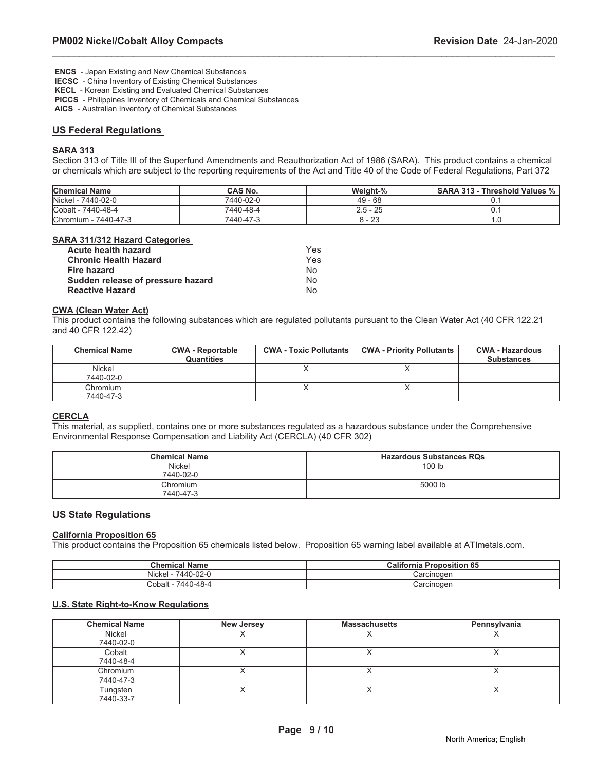**ENCS** - Japan Existing and New Chemical Substances

 **IECSC** - China Inventory of Existing Chemical Substances

 **KECL** - Korean Existing and Evaluated Chemical Substances

 **PICCS** - Philippines Inventory of Chemicals and Chemical Substances

 **AICS** - Australian Inventory of Chemical Substances

#### **US Federal Regulations**

#### **SARA 313**

Section 313 of Title III of the Superfund Amendments and Reauthorization Act of 1986 (SARA). This product contains a chemical or chemicals which are subject to the reporting requirements of the Act and Title 40 of the Code of Federal Regulations, Part 372

\_\_\_\_\_\_\_\_\_\_\_\_\_\_\_\_\_\_\_\_\_\_\_\_\_\_\_\_\_\_\_\_\_\_\_\_\_\_\_\_\_\_\_\_\_\_\_\_\_\_\_\_\_\_\_\_\_\_\_\_\_\_\_\_\_\_\_\_\_\_\_\_\_\_\_\_\_\_\_\_\_\_\_\_\_\_\_\_\_\_\_\_\_

| <b>Chemical Name</b> | CAS No.   | Weight-%   | <b>SARA 313 - Threshold Values %</b> |
|----------------------|-----------|------------|--------------------------------------|
| Nickel - 7440-02-0   | 7440-02-0 | $49 - 68$  |                                      |
| Cobalt - 7440-48-4   | 7440-48-4 | $2.5 - 25$ |                                      |
| Chromium - 7440-47-3 | 7440-47-3 | 8 - 23     |                                      |

#### **SARA 311/312 Hazard Categories**

| Acute health hazard               | Yes |
|-----------------------------------|-----|
| <b>Chronic Health Hazard</b>      | Yes |
| <b>Fire hazard</b>                | Nο  |
| Sudden release of pressure hazard | N٥  |
| <b>Reactive Hazard</b>            | Nο  |

#### **CWA (Clean Water Act)**

This product contains the following substances which are regulated pollutants pursuant to the Clean Water Act (40 CFR 122.21 and 40 CFR 122.42)

| <b>Chemical Name</b>  | <b>CWA - Reportable</b><br><b>Quantities</b> | <b>CWA - Toxic Pollutants</b> | <b>CWA - Priority Pollutants</b> | <b>CWA - Hazardous</b><br><b>Substances</b> |
|-----------------------|----------------------------------------------|-------------------------------|----------------------------------|---------------------------------------------|
| Nickel<br>7440-02-0   |                                              |                               |                                  |                                             |
| Chromium<br>7440-47-3 |                                              |                               |                                  |                                             |

#### **CERCLA**

This material, as supplied, contains one or more substances regulated as a hazardous substance under the Comprehensive Environmental Response Compensation and Liability Act (CERCLA) (40 CFR 302)

| <b>Chemical Name</b> | <b>Hazardous Substances RQs</b> |
|----------------------|---------------------------------|
| Nickel               | 100 lb                          |
| 7440-02-0            |                                 |
| Chromium             | 5000 lb                         |
| 7440-47-3            |                                 |

#### **US State Regulations**

#### **California Proposition 65**

This product contains the Proposition 65 chemicals listed below. Proposition 65 warning label available at ATImetals.com.

| <b>Chemical</b><br><b>Name</b>                   | .<br>roposition 65<br>п<br>California |
|--------------------------------------------------|---------------------------------------|
| Nickel<br>$\sim$ $\sim$<br>440/<br>∪-∪∠-เ<br>᠇᠇៴ | Carcinogen                            |
| በ-48-4<br>Cobalt<br>(440)                        | Carcinogen                            |

#### **U.S. State Right-to-Know Regulations**

| <b>Chemical Name</b> | <b>New Jersey</b> | <b>Massachusetts</b> | Pennsylvania |
|----------------------|-------------------|----------------------|--------------|
| Nickel               |                   |                      |              |
| 7440-02-0            |                   |                      |              |
| Cobalt               |                   |                      |              |
| 7440-48-4            |                   |                      |              |
| Chromium             |                   |                      |              |
| 7440-47-3            |                   |                      |              |
| Tungsten             |                   |                      |              |
| 7440-33-7            |                   |                      |              |